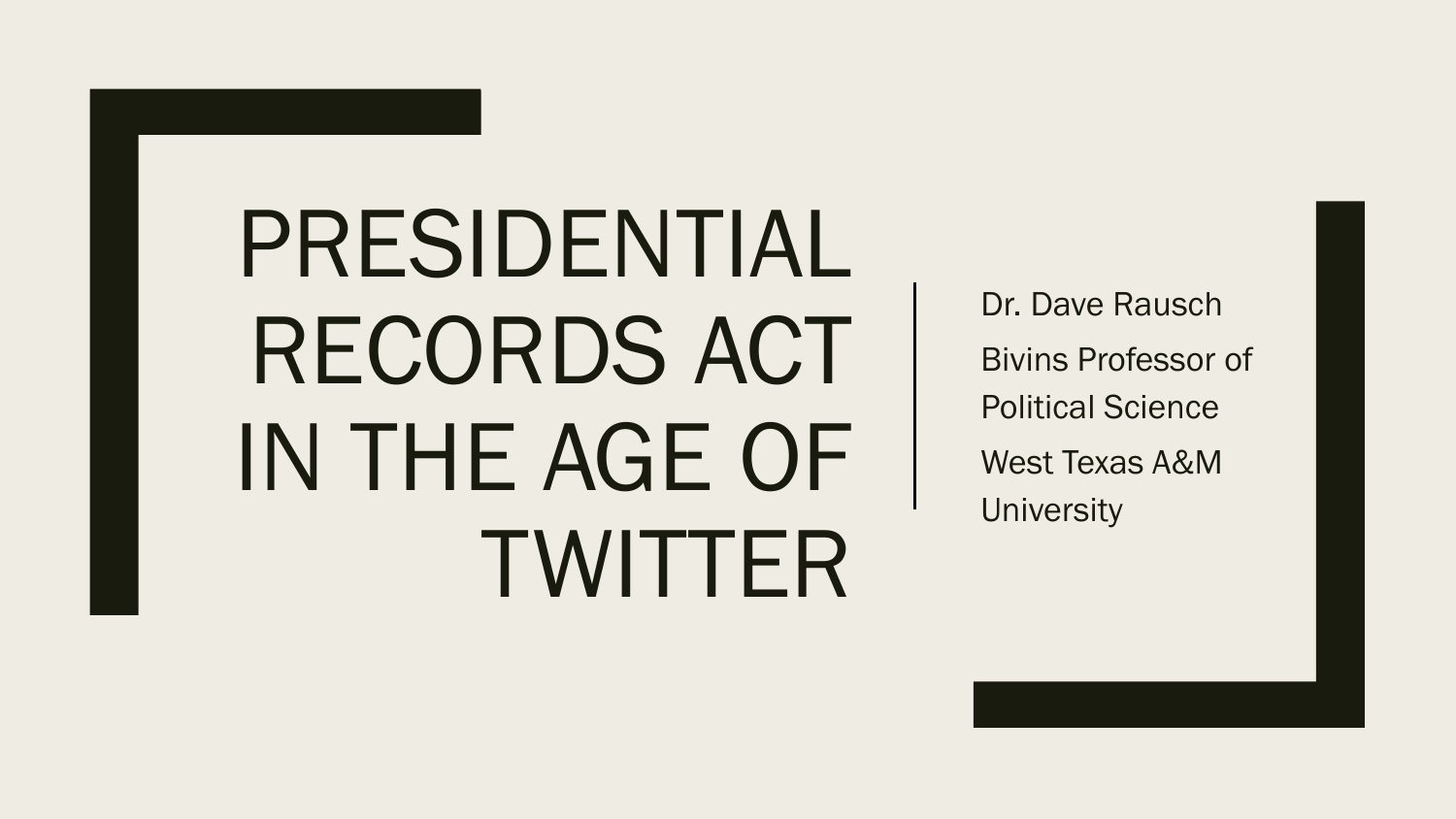# PRESIDENTIAL RECORDS ACT IN THE AGE OF TWITTER

Dr. Dave Rausch Bivins Professor of Political Science West Texas A&M **University**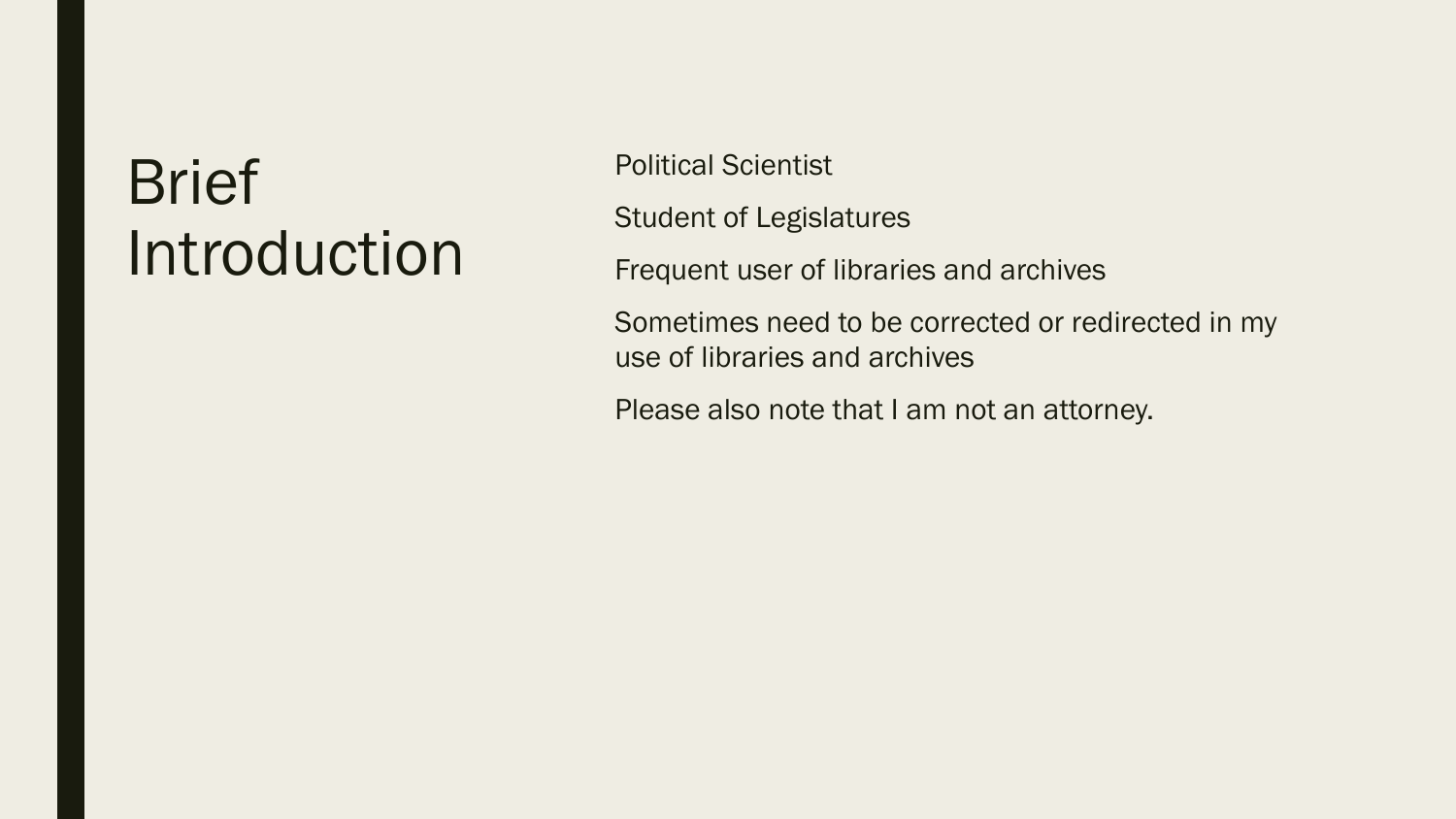### Brief Introduction

Political Scientist

Student of Legislatures

Frequent user of libraries and archives

Sometimes need to be corrected or redirected in my use of libraries and archives

Please also note that I am not an attorney.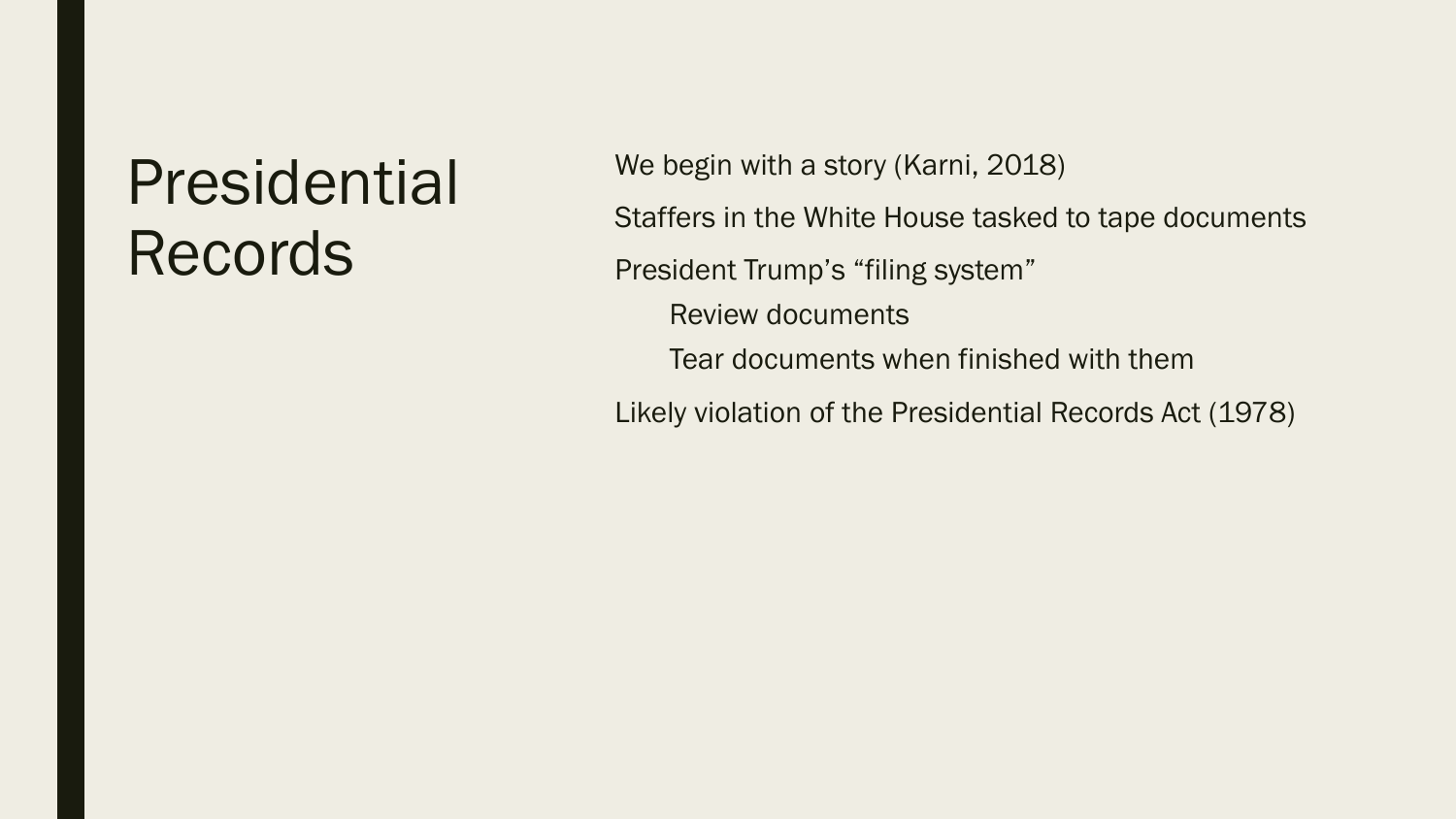#### Presidential Records

We begin with a story (Karni, 2018)

Staffers in the White House tasked to tape documents President Trump's "filing system" Review documents Tear documents when finished with them

Likely violation of the Presidential Records Act (1978)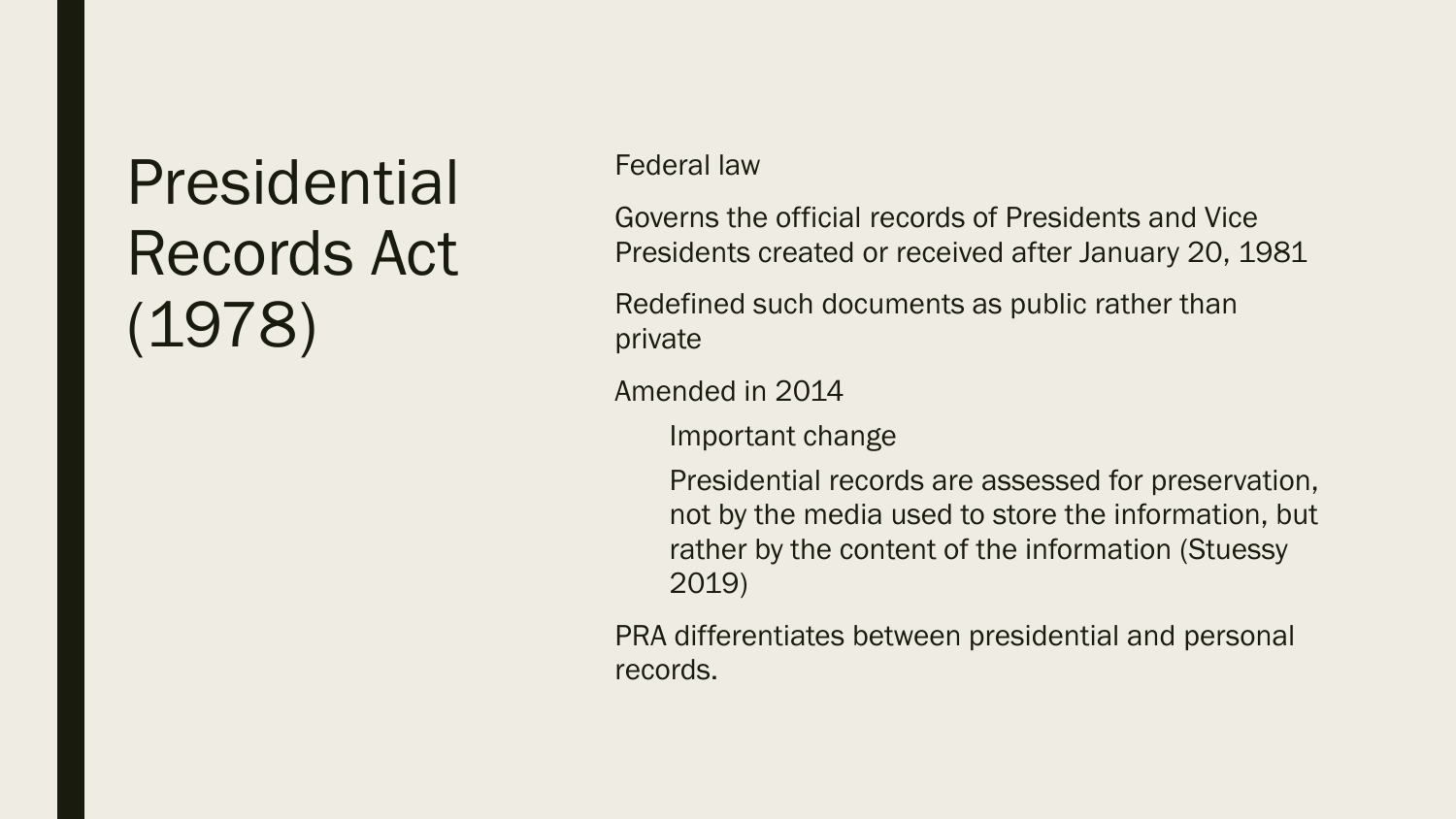## Presidential Records Act (1978)

#### Federal law

Governs the official records of Presidents and Vice Presidents created or received after January 20, 1981

Redefined such documents as public rather than private

Amended in 2014

Important change

Presidential records are assessed for preservation, not by the media used to store the information, but rather by the content of the information (Stuessy 2019)

PRA differentiates between presidential and personal records.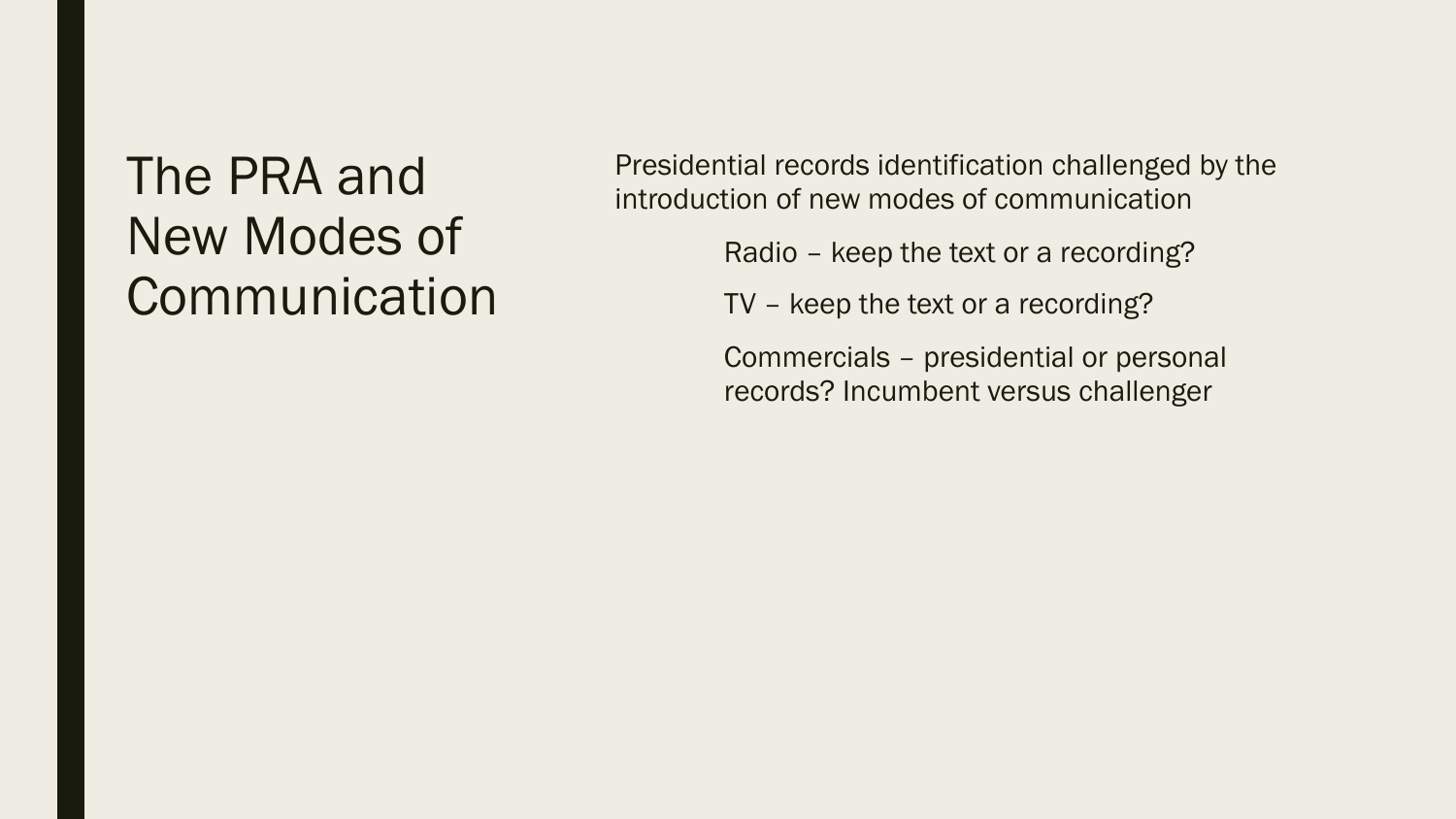#### The PRA and New Modes of **Communication**

Presidential records identification challenged by the introduction of new modes of communication

Radio – keep the text or a recording?

TV – keep the text or a recording?

Commercials – presidential or personal records? Incumbent versus challenger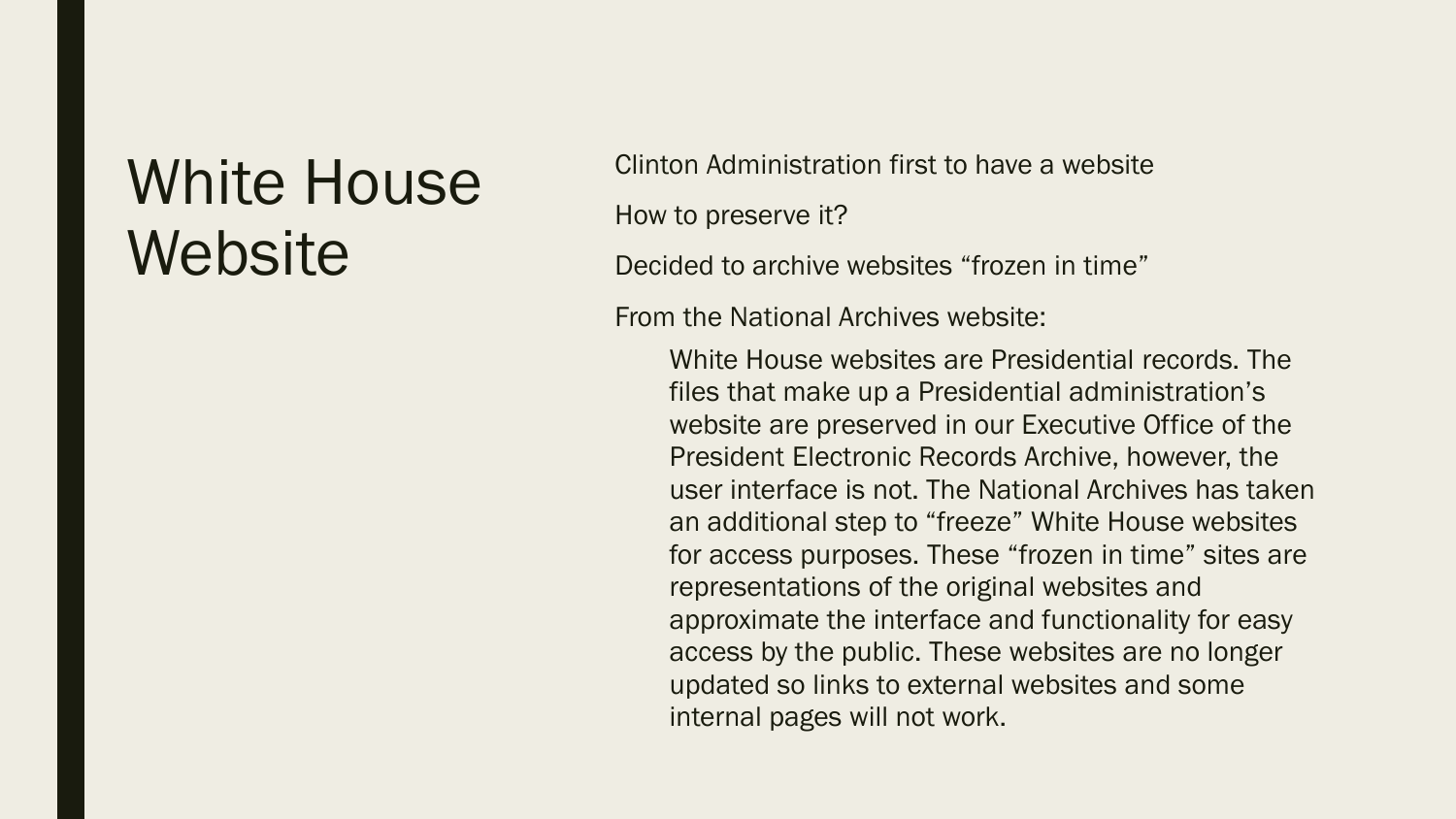#### White House **Website**

Clinton Administration first to have a website How to preserve it?

Decided to archive websites "frozen in time"

From the National Archives website:

White House websites are Presidential records. The files that make up a Presidential administration's website are preserved in our Executive Office of the President Electronic Records Archive, however, the user interface is not. The National Archives has taken an additional step to "freeze" White House websites for access purposes. These "frozen in time" sites are representations of the original websites and approximate the interface and functionality for easy access by the public. These websites are no longer updated so links to external websites and some internal pages will not work.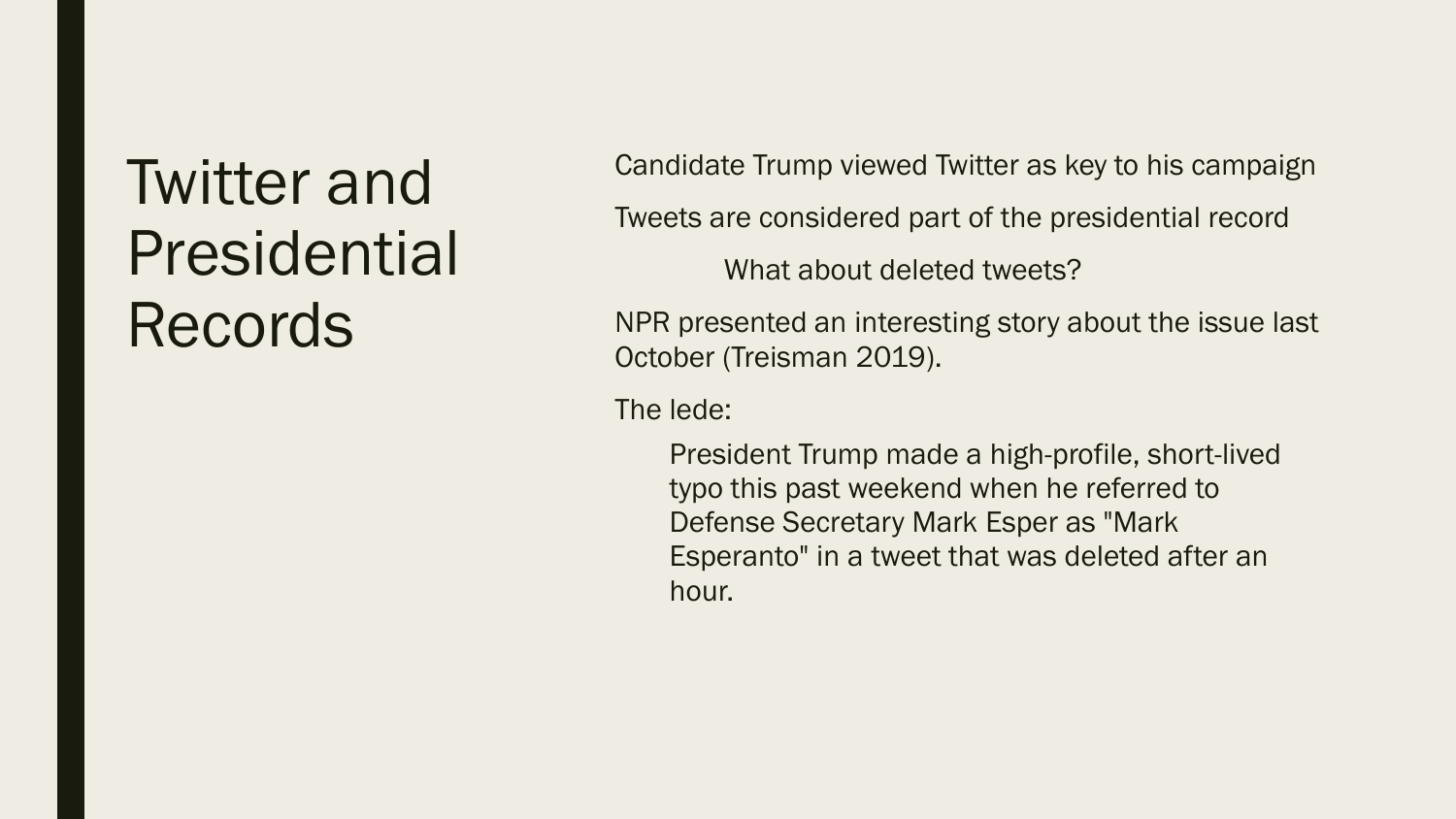## Twitter and Presidential Records

Candidate Trump viewed Twitter as key to his campaign Tweets are considered part of the presidential record What about deleted tweets?

NPR presented an interesting story about the issue last October (Treisman 2019).

The lede:

President Trump made a high-profile, short-lived typo this past weekend when he referred to Defense Secretary Mark Esper as "Mark Esperanto" in a tweet that was deleted after an hour.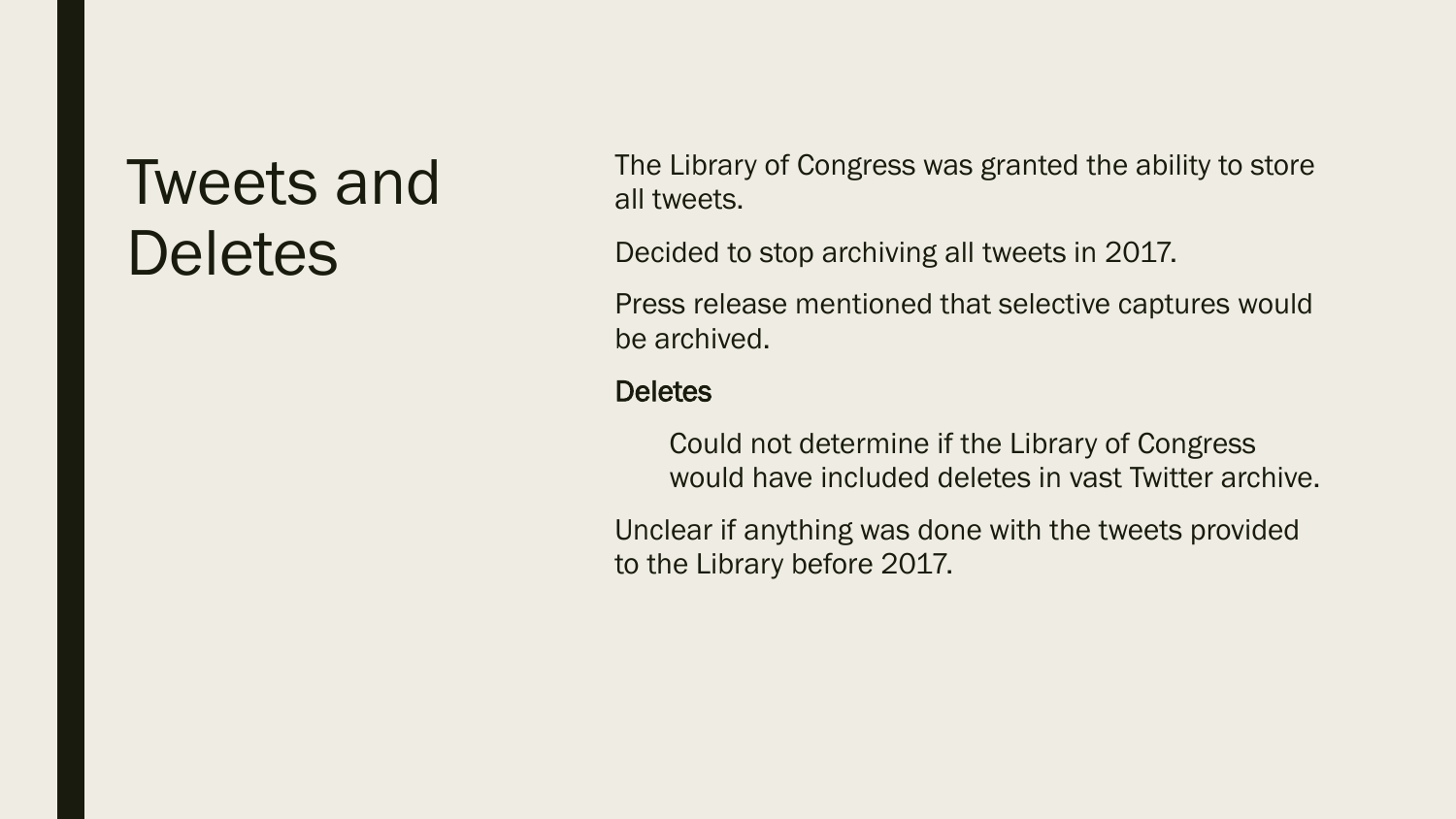#### Tweets and **Deletes**

The Library of Congress was granted the ability to store all tweets.

Decided to stop archiving all tweets in 2017.

Press release mentioned that selective captures would be archived.

#### **Deletes**

Could not determine if the Library of Congress would have included deletes in vast Twitter archive.

Unclear if anything was done with the tweets provided to the Library before 2017.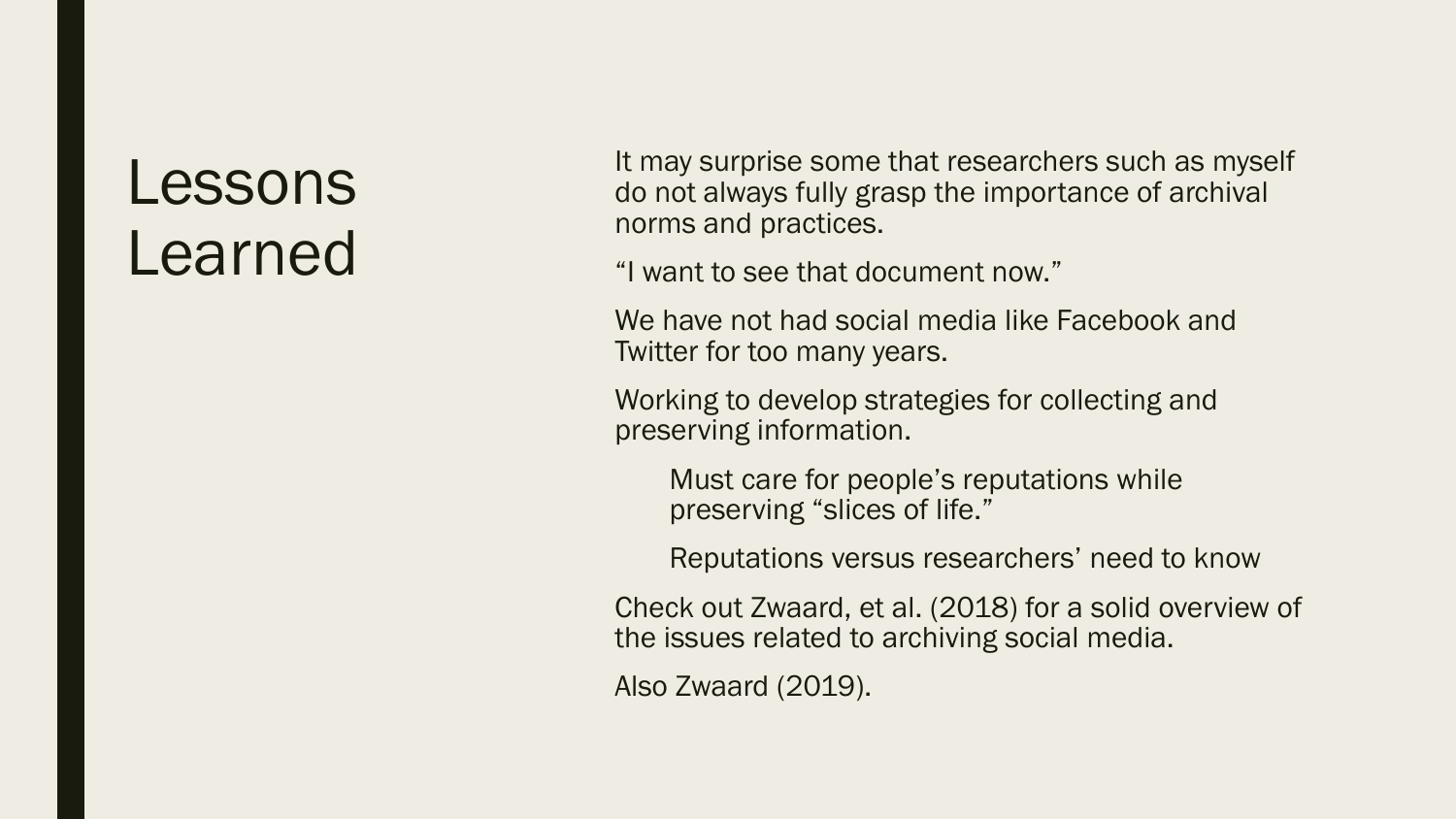#### Lessons Learned

It may surprise some that researchers such as myself do not always fully grasp the importance of archival norms and practices.

"I want to see that document now."

We have not had social media like Facebook and Twitter for too many years.

Working to develop strategies for collecting and preserving information.

Must care for people's reputations while preserving "slices of life."

Reputations versus researchers' need to know

Check out Zwaard, et al. (2018) for a solid overview of the issues related to archiving social media.

Also Zwaard (2019).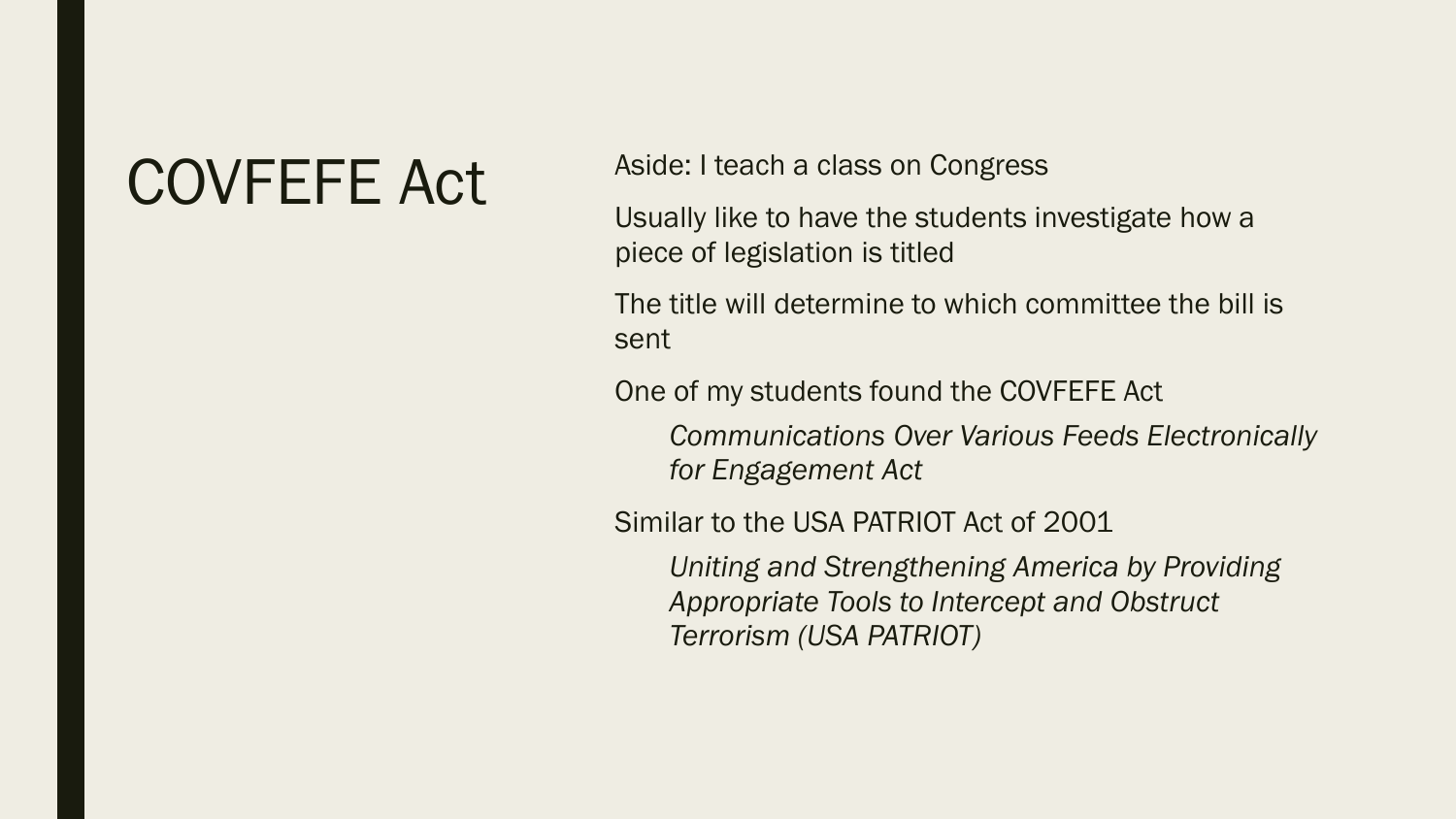#### COVFEFE Act Aside: I teach a class on Congress

Usually like to have the students investigate how a piece of legislation is titled

The title will determine to which committee the bill is sent

One of my students found the COVFEFE Act

*Communications Over Various Feeds Electronically for Engagement Act*

Similar to the USA PATRIOT Act of 2001

*Uniting and Strengthening America by Providing Appropriate Tools to Intercept and Obstruct Terrorism (USA PATRIOT)*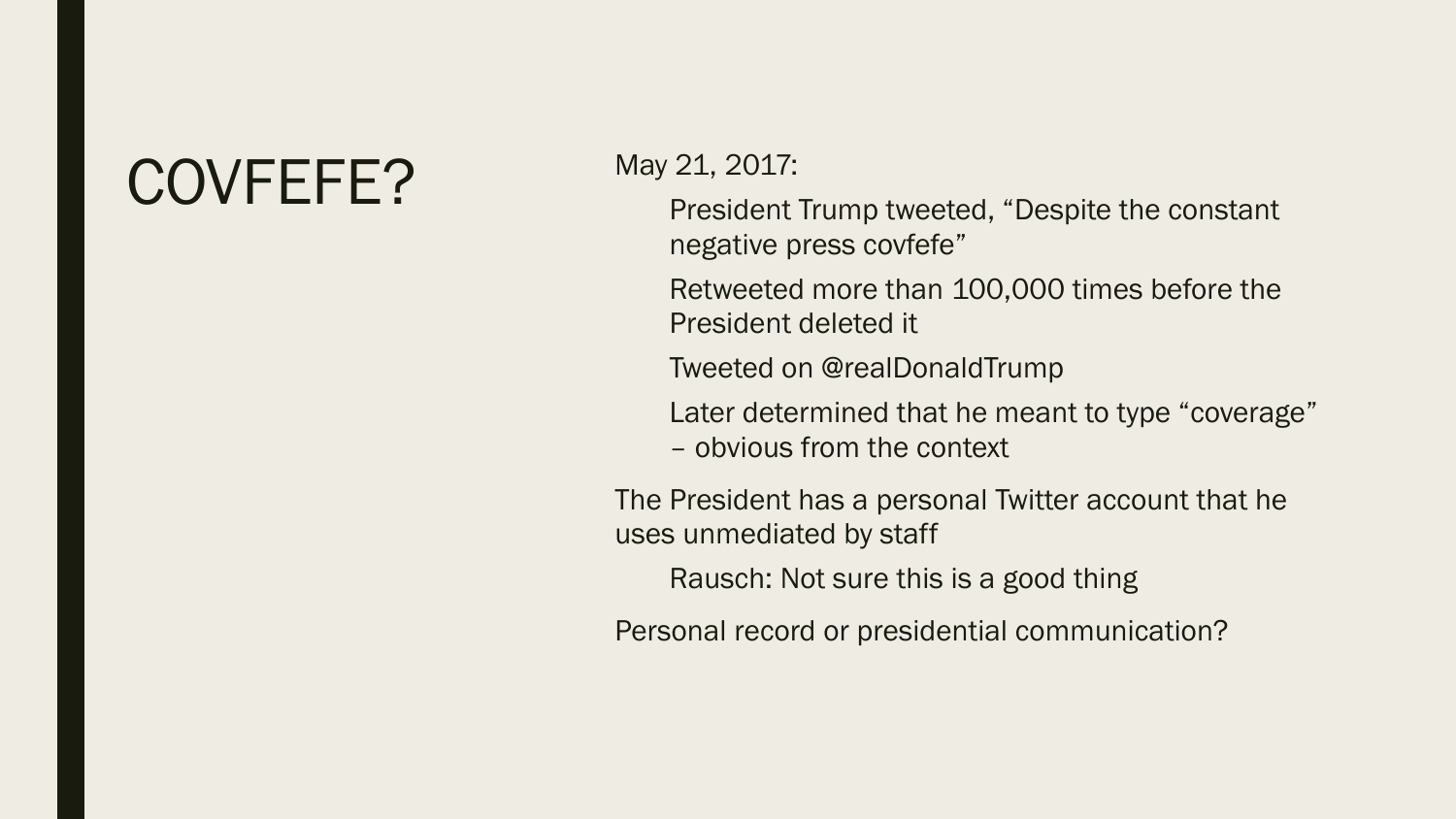#### COVFEFE? May 21, 2017:

President Trump tweeted, "Despite the constant negative press covfefe"

Retweeted more than 100,000 times before the President deleted it

Tweeted on @realDonaldTrump

Later determined that he meant to type "coverage" – obvious from the context

The President has a personal Twitter account that he uses unmediated by staff

Rausch: Not sure this is a good thing

Personal record or presidential communication?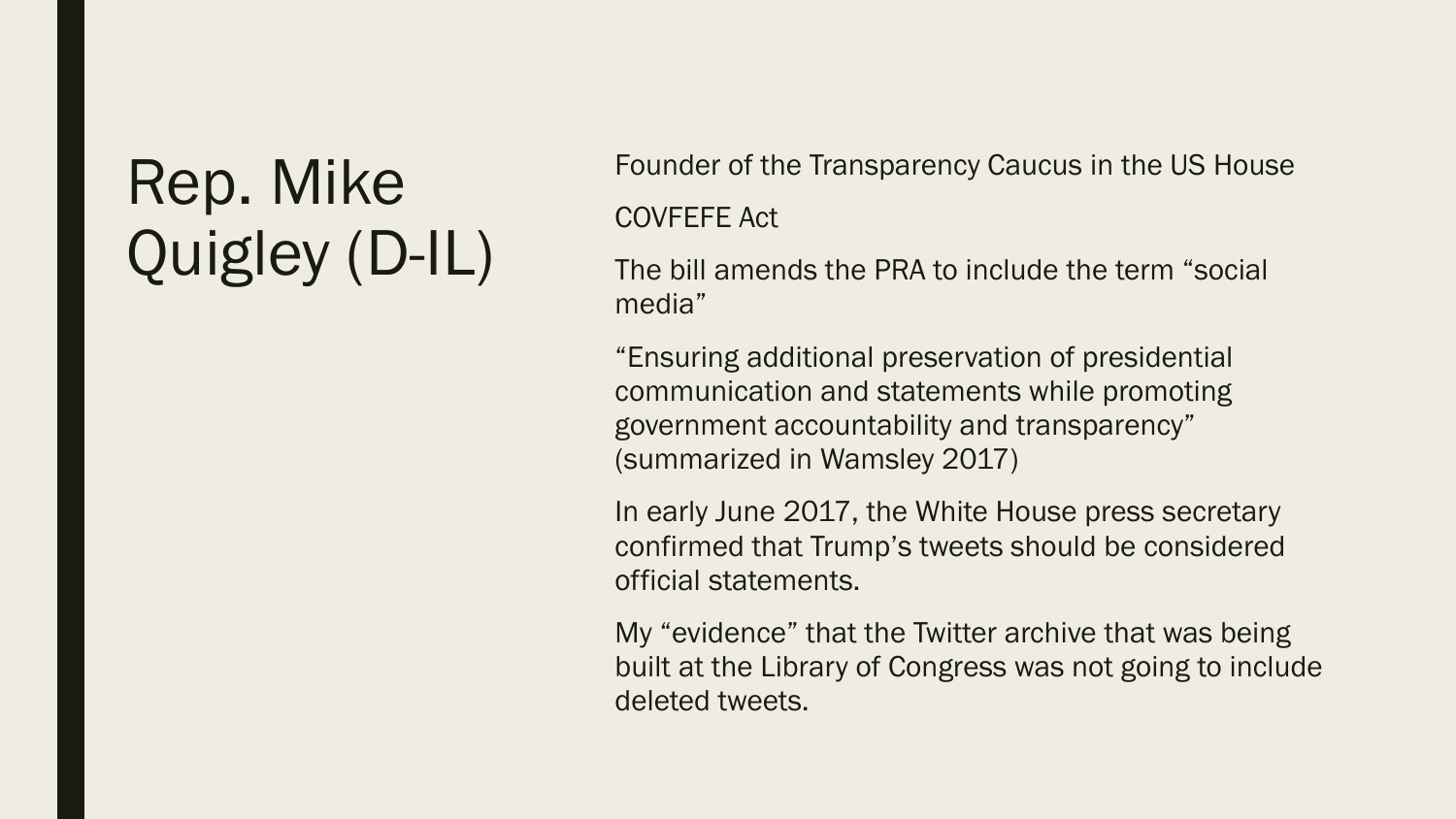## Rep. Mike Quigley (D-IL)

Founder of the Transparency Caucus in the US House COVFEFE Act

The bill amends the PRA to include the term "social media"

"Ensuring additional preservation of presidential communication and statements while promoting government accountability and transparency" (summarized in Wamsley 2017)

In early June 2017, the White House press secretary confirmed that Trump's tweets should be considered official statements.

My "evidence" that the Twitter archive that was being built at the Library of Congress was not going to include deleted tweets.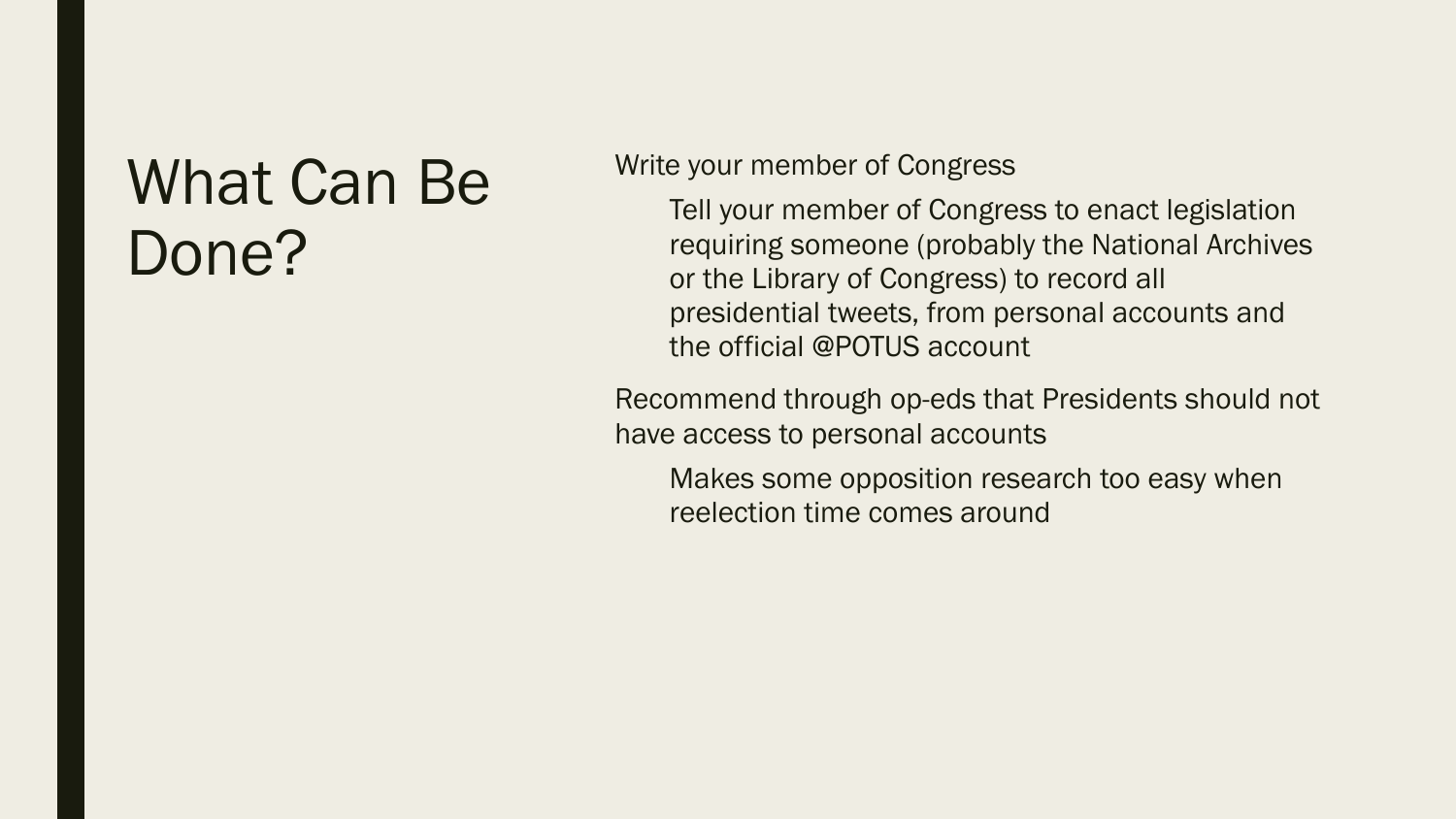#### What Can Be Done?

#### Write your member of Congress

Tell your member of Congress to enact legislation requiring someone (probably the National Archives or the Library of Congress) to record all presidential tweets, from personal accounts and the official @POTUS account

Recommend through op-eds that Presidents should not have access to personal accounts

Makes some opposition research too easy when reelection time comes around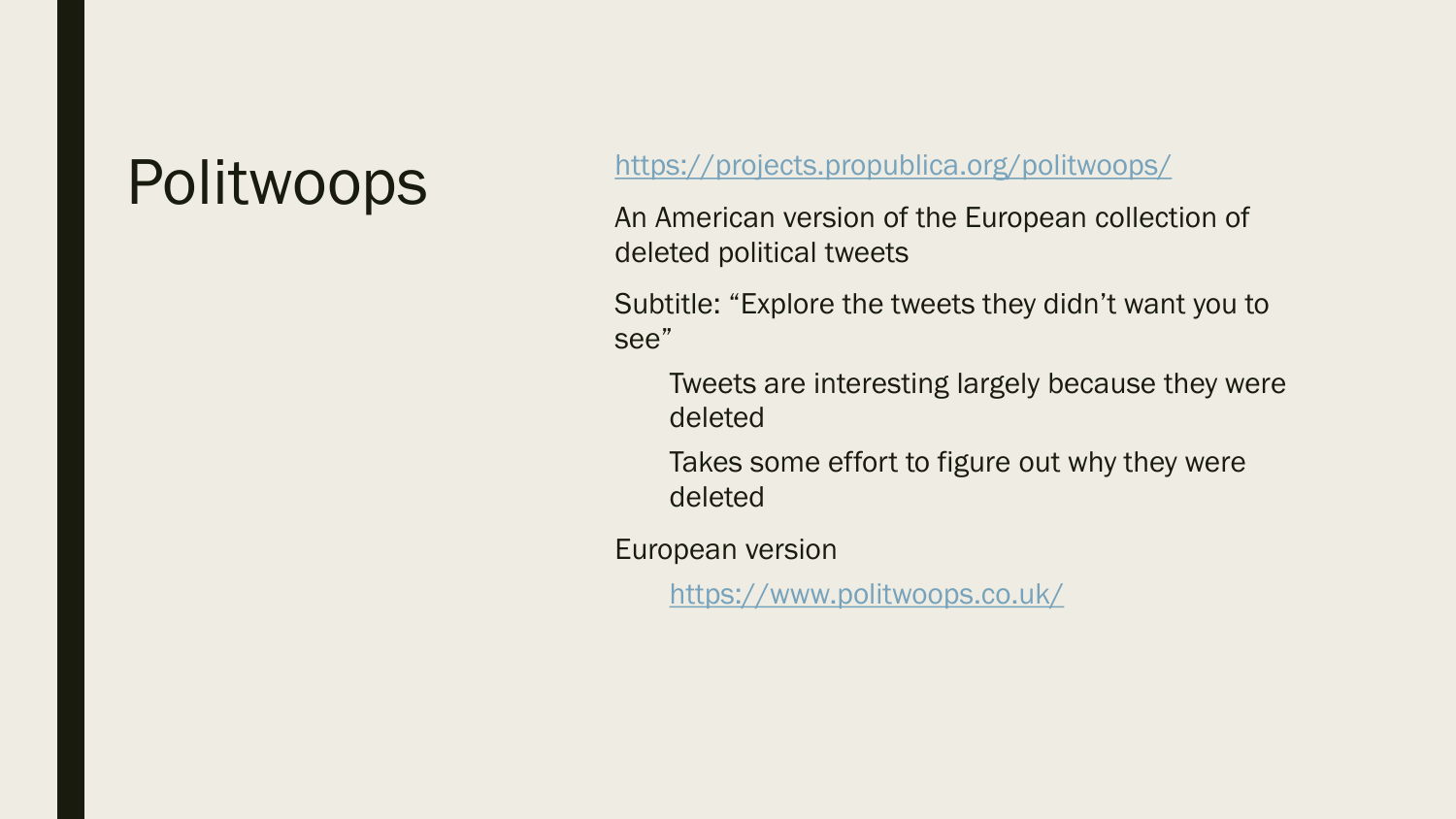#### Politwoops <https://projects.propublica.org/politwoops/>

An American version of the European collection of deleted political tweets

Subtitle: "Explore the tweets they didn't want you to see"

Tweets are interesting largely because they were deleted

Takes some effort to figure out why they were deleted

European version

<https://www.politwoops.co.uk/>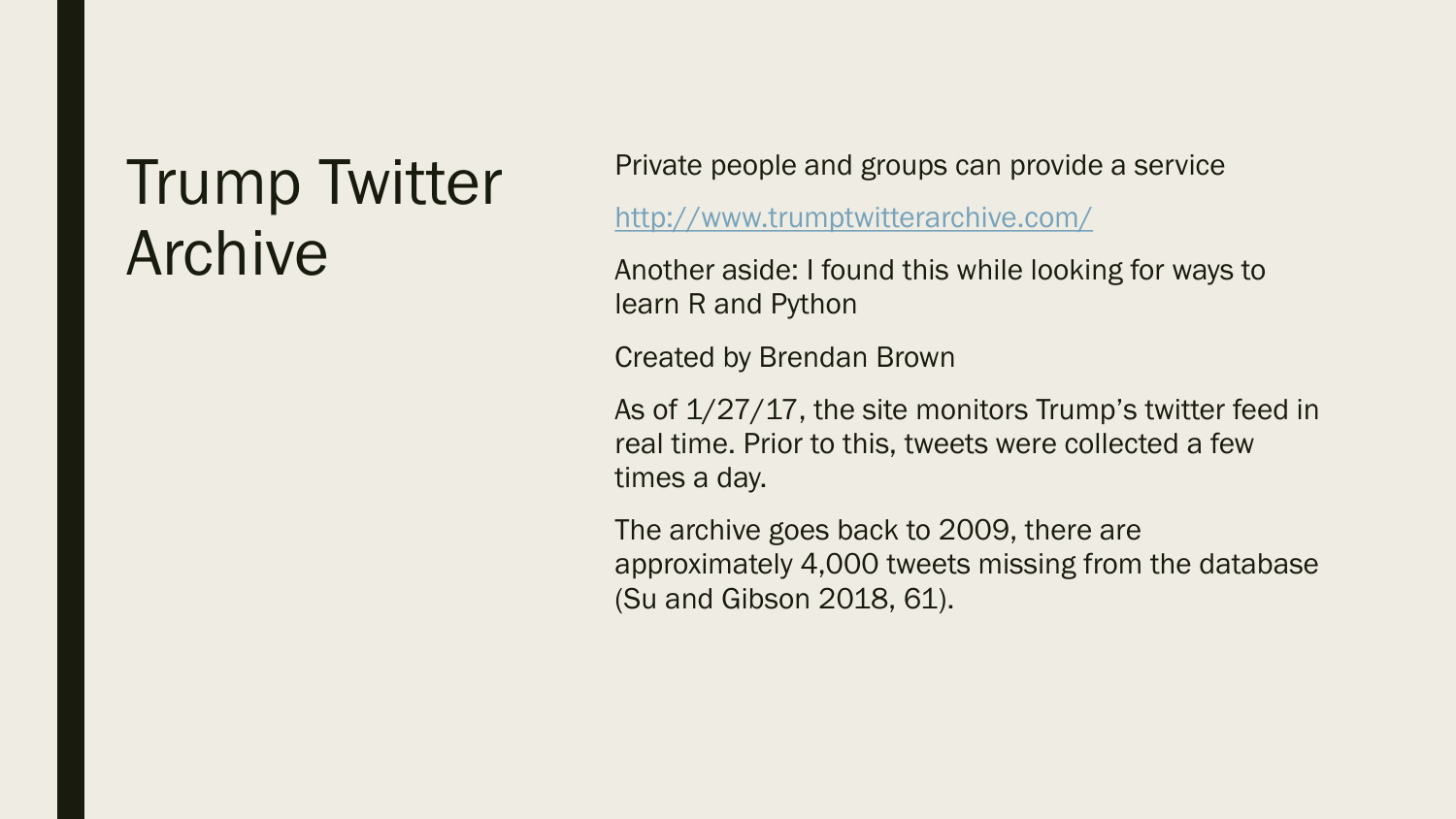#### Trump Twitter Archive

Private people and groups can provide a service

<http://www.trumptwitterarchive.com/>

Another aside: I found this while looking for ways to learn R and Python

Created by Brendan Brown

As of  $1/27/17$ , the site monitors Trump's twitter feed in real time. Prior to this, tweets were collected a few times a day.

The archive goes back to 2009, there are approximately 4,000 tweets missing from the database (Su and Gibson 2018, 61).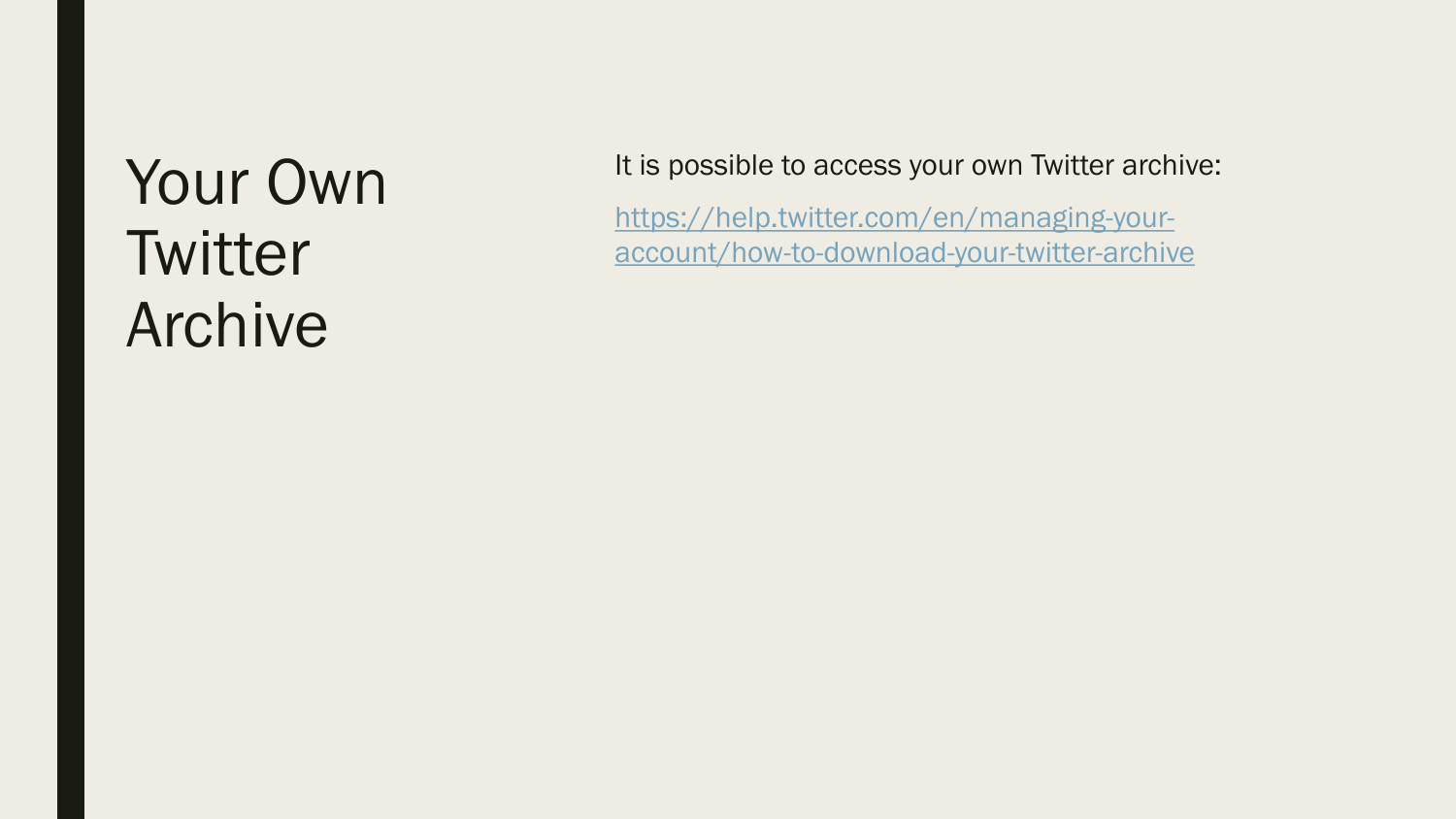## Your Own **Twitter** Archive

It is possible to access your own Twitter archive:

[https://help.twitter.com/en/managing](https://help.twitter.com/en/managing-your-account/how-to-download-your-twitter-archive)-youraccount/how-to-download-your-twitter-archive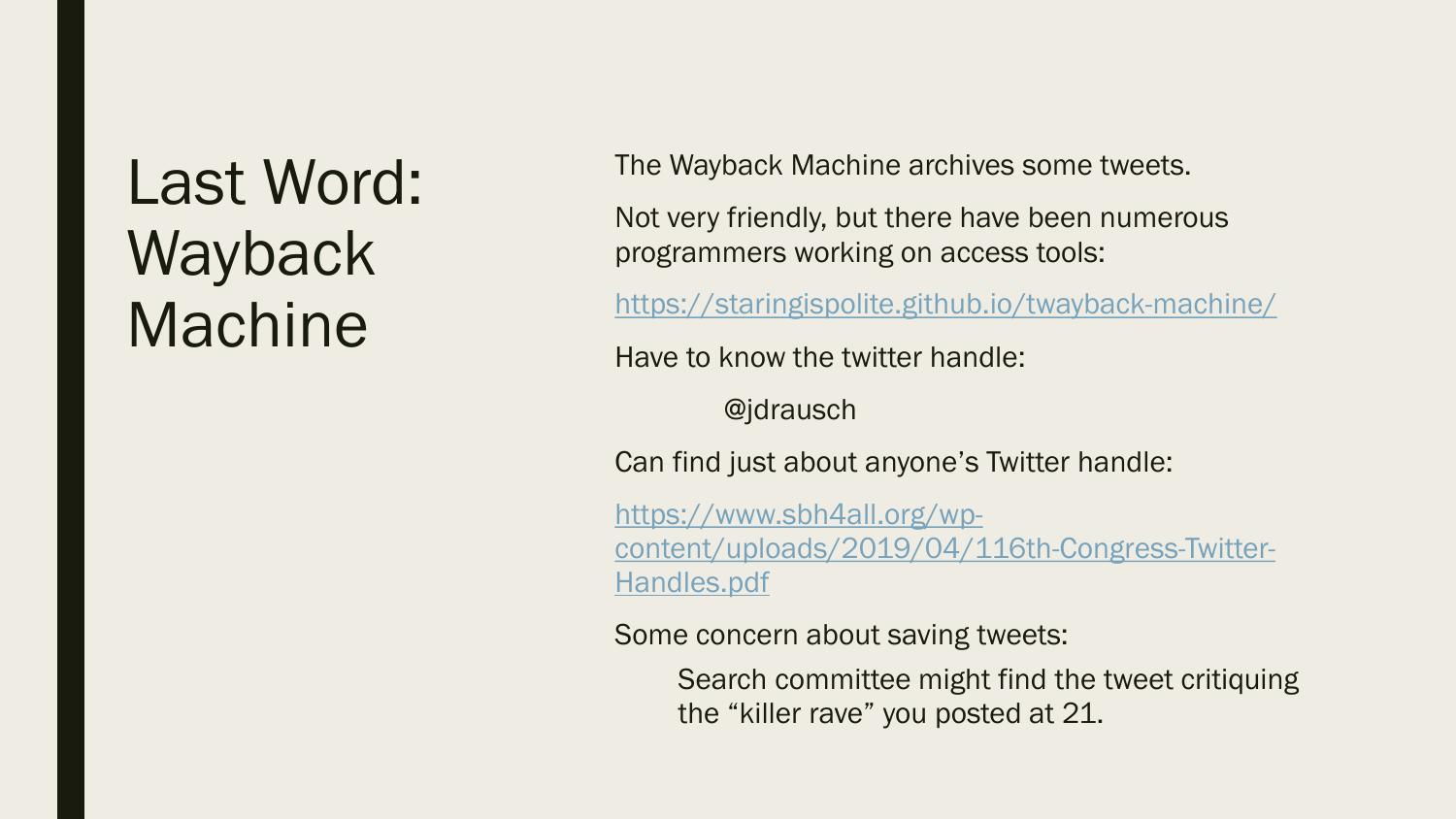## Last Word: Wayback Machine

The Wayback Machine archives some tweets.

Not very friendly, but there have been numerous programmers working on access tools:

<https://staringispolite.github.io/twayback-machine/>

Have to know the twitter handle:

@jdrausch

Can find just about anyone's Twitter handle:

https://www.sbh4all.org/wp[content/uploads/2019/04/116th-Congress-Twitter-](https://www.sbh4all.org/wp-content/uploads/2019/04/116th-Congress-Twitter-Handles.pdf)Handles.pdf

Some concern about saving tweets:

Search committee might find the tweet critiquing the "killer rave" you posted at 21.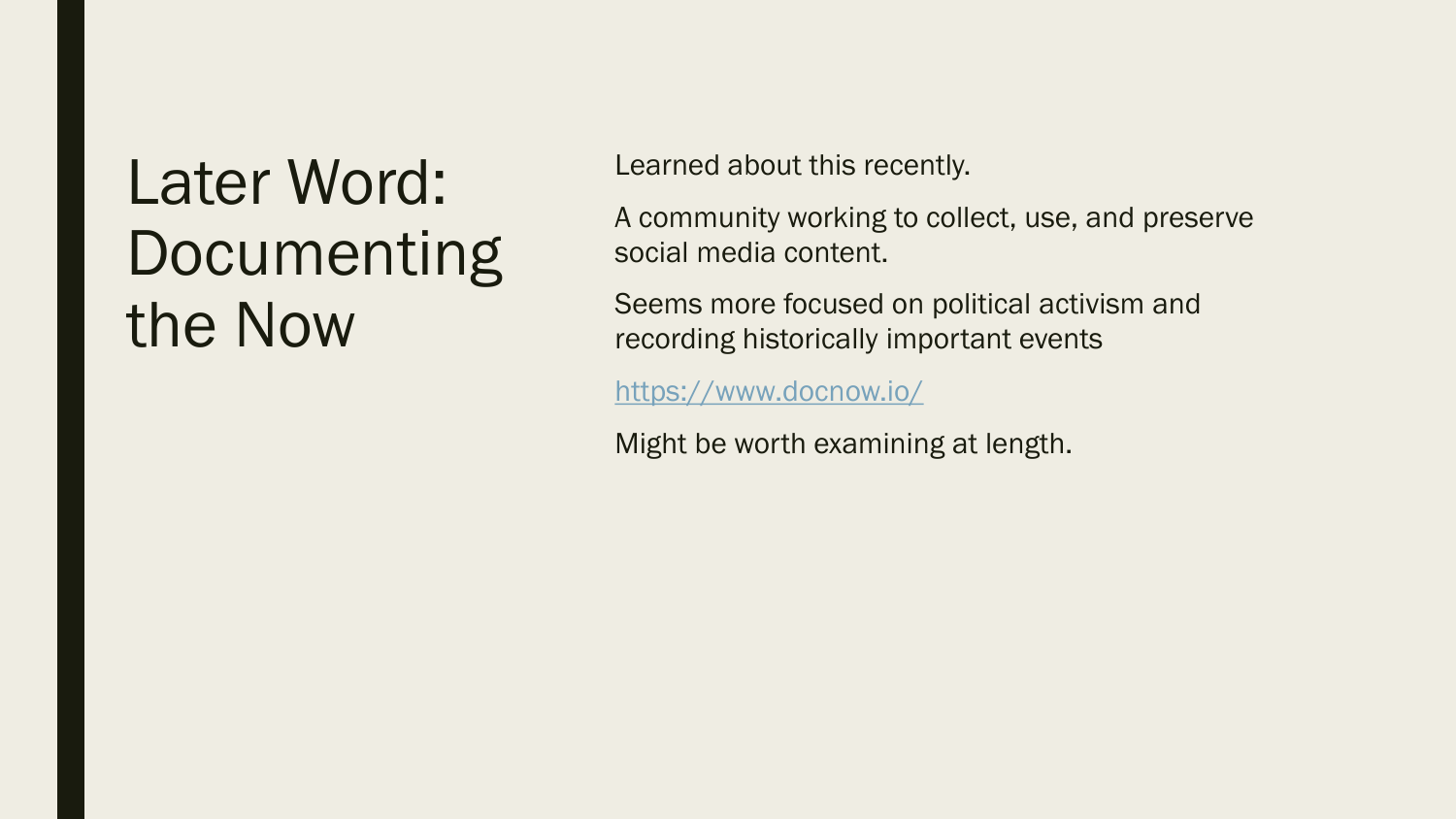## Later Word: Documenting the Now

Learned about this recently.

A community working to collect, use, and preserve social media content.

Seems more focused on political activism and recording historically important events

<https://www.docnow.io/>

Might be worth examining at length.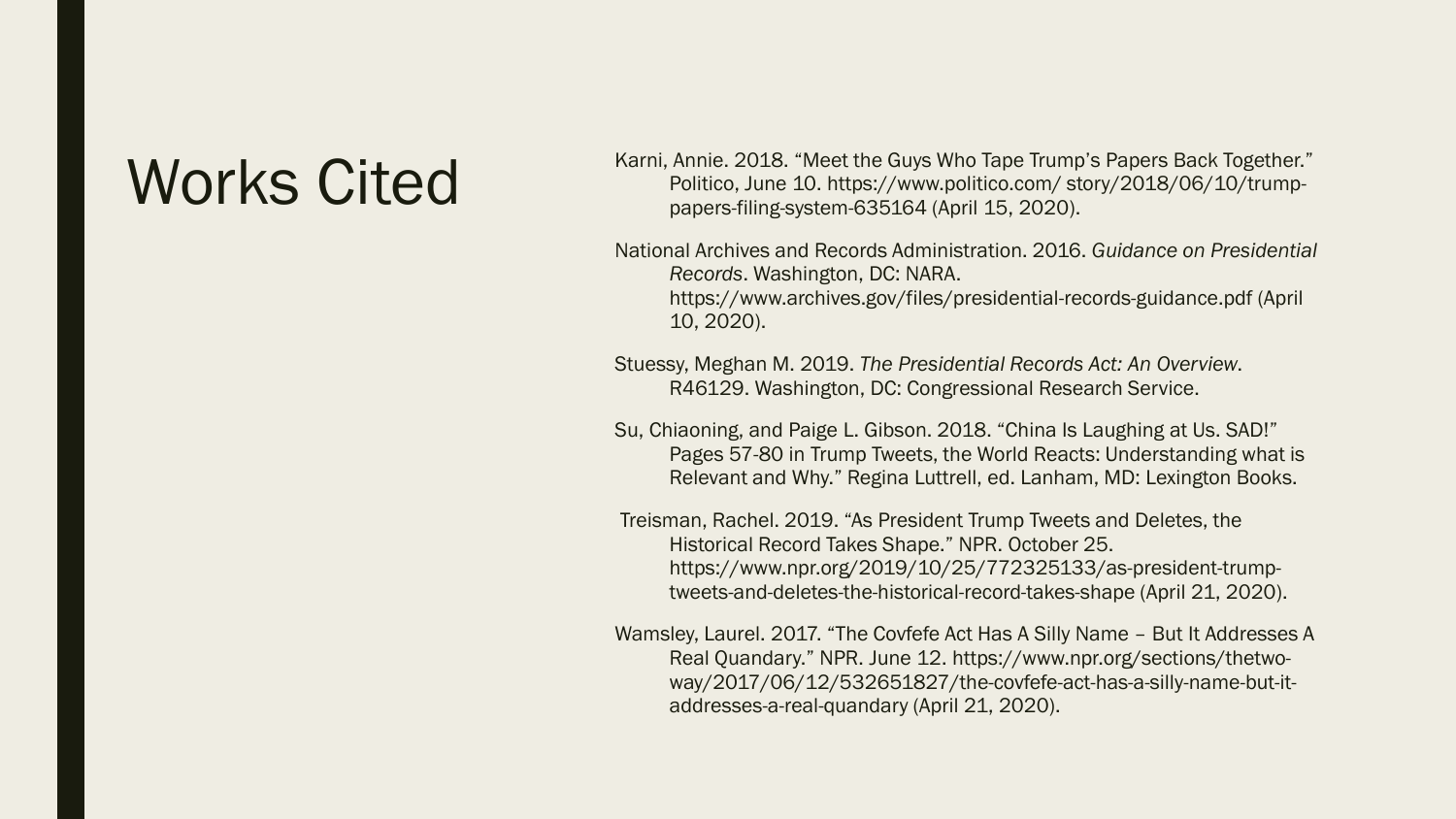Karni, Annie. 2018. "Meet the Guys Who Tape Trump's Papers Back Together."<br>Politico, June 10. https://www.politico.com/story/2018/06/10/trump-Politico, June 10. https://www.politico.com/ story/2018/06/10/trumppapers-filing-system-635164 (April 15, 2020).

> National Archives and Records Administration. 2016. *Guidance on Presidential Records*. Washington, DC: NARA. https://www.archives.gov/files/presidential-records-guidance.pdf (April 10, 2020).

Stuessy, Meghan M. 2019. *The Presidential Records Act: An Overview*. R46129. Washington, DC: Congressional Research Service.

- Su, Chiaoning, and Paige L. Gibson. 2018. "China Is Laughing at Us. SAD!" Pages 57-80 in Trump Tweets, the World Reacts: Understanding what is Relevant and Why." Regina Luttrell, ed. Lanham, MD: Lexington Books.
- Treisman, Rachel. 2019. "As President Trump Tweets and Deletes, the Historical Record Takes Shape." NPR. October 25. https://www.npr.org/2019/10/25/772325133/as-president-trumptweets-and-deletes-the-historical-record-takes-shape (April 21, 2020).

Wamsley, Laurel. 2017. "The Covfefe Act Has A Silly Name – But It Addresses A Real Quandary." NPR. June 12. https://www.npr.org/sections/thetwoway/2017/06/12/532651827/the-covfefe-act-has-a-silly-name-but-itaddresses-a-real-quandary (April 21, 2020).